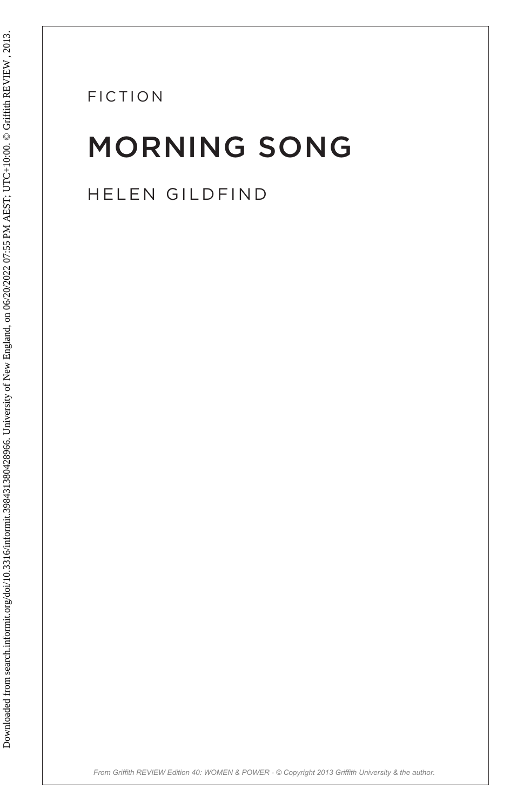FICTION

# MORNING SONG FICTION<br>
MORNING SONG<br>
HELEN GILDFIND<br>
SALE LEN GILDFIND<br>
SALE LEN GILDFIND<br>
SALE LEN GILDFIND<br>
SALE LEN GILDFIND

HELEN GILDFIND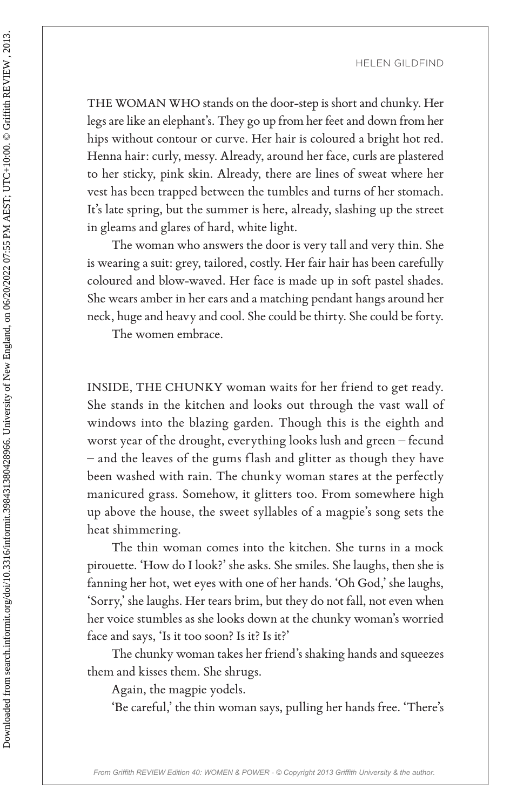THE WOMAN WHO stands on the door-step is short and chunky. Her legs are like an elephant's. They go up from her feet and down from her hips without contour or curve. Her hair is coloured a bright hot red. Henna hair: curly, messy. Already, around her face, curls are plastered to her sticky, pink skin. Already, there are lines of sweat where her vest has been trapped between the tumbles and turns of her stomach. It's late spring, but the summer is here, already, slashing up the street in gleams and glares of hard, white light.

The woman who answers the door is very tall and very thin. She is wearing a suit: grey, tailored, costly. Her fair hair has been carefully coloured and blow-waved. Her face is made up in soft pastel shades. She wears amber in her ears and a matching pendant hangs around her neck, huge and heavy and cool. She could be thirty. She could be forty.

The women embrace.

INSIDE, THE CHUNKY woman waits for her friend to get ready. She stands in the kitchen and looks out through the vast wall of windows into the blazing garden. Though this is the eighth and worst year of the drought, everything looks lush and green – fecund – and the leaves of the gums flash and glitter as though they have been washed with rain. The chunky woman stares at the perfectly manicured grass. Somehow, it glitters too. From somewhere high up above the house, the sweet syllables of a magpie's song sets the heat shimmering. FIRE WOMAN WITO stands on the door-step is short and doubly. Hence the same like an elephant's. They go up from her feet and down from helps are like an elephant's. They go up from her feet and down from helps without con

The thin woman comes into the kitchen. She turns in a mock pirouette. 'How do I look?' she asks. She smiles. She laughs, then she is fanning her hot, wet eyes with one of her hands. 'Oh God,' she laughs, 'Sorry,' she laughs. Her tears brim, but they do not fall, not even when her voice stumbles as she looks down at the chunky woman's worried face and says, 'Is it too soon? Is it? Is it?'

The chunky woman takes her friend's shaking hands and squeezes them and kisses them. She shrugs.

Again, the magpie yodels.

'Be careful,' the thin woman says, pulling her hands free. 'There's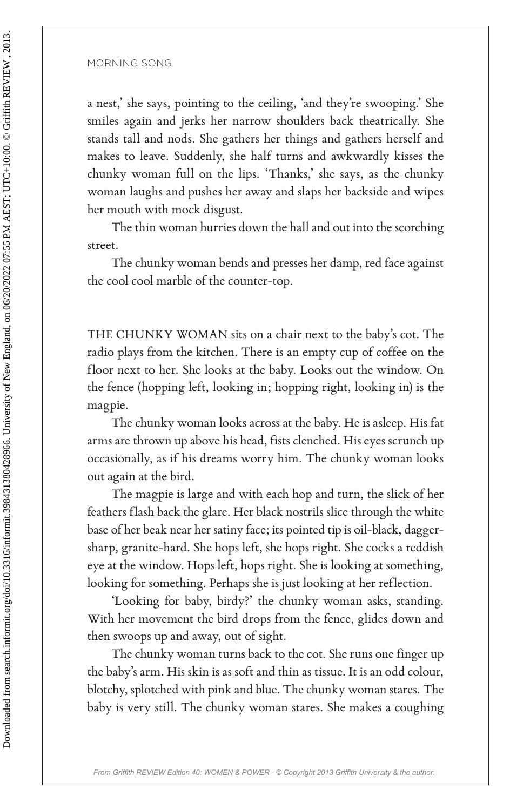a nest,' she says, pointing to the ceiling, 'and they're swooping.' She smiles again and jerks her narrow shoulders back theatrically. She stands tall and nods. She gathers her things and gathers herself and makes to leave. Suddenly, she half turns and awkwardly kisses the chunky woman full on the lips. 'Thanks,' she says, as the chunky woman laughs and pushes her away and slaps her backside and wipes her mouth with mock disgust. Fraction 1981 and the space space of the celling, 'and they're swooping.' S<br>
anesa, 'she spay, pointing to the celling, 'and they're swooping.' S<br>
annals again and jerks her narrow shoulders back the<br>stratefield smalles a

The thin woman hurries down the hall and out into the scorching street.

The chunky woman bends and presses her damp, red face against the cool cool marble of the counter-top.

THE CHUNKY WOMAN sits on a chair next to the baby's cot. The radio plays from the kitchen. There is an empty cup of coffee on the floor next to her. She looks at the baby. Looks out the window. On the fence (hopping left, looking in; hopping right, looking in) is the magpie.

The chunky woman looks across at the baby. He is asleep. His fat arms are thrown up above his head, fists clenched. His eyes scrunch up occasionally, as if his dreams worry him. The chunky woman looks out again at the bird.

The magpie is large and with each hop and turn, the slick of her feathers flash back the glare. Her black nostrils slice through the white base of her beak near her satiny face; its pointed tip is oil-black, daggersharp, granite-hard. She hops left, she hops right. She cocks a reddish eye at the window. Hops left, hops right. She is looking at something, looking for something. Perhaps she is just looking at her reflection.

'Looking for baby, birdy?' the chunky woman asks, standing. With her movement the bird drops from the fence, glides down and then swoops up and away, out of sight.

The chunky woman turns back to the cot. She runs one finger up the baby's arm. His skin is as soft and thin as tissue. It is an odd colour, blotchy, splotched with pink and blue. The chunky woman stares. The baby is very still. The chunky woman stares. She makes a coughing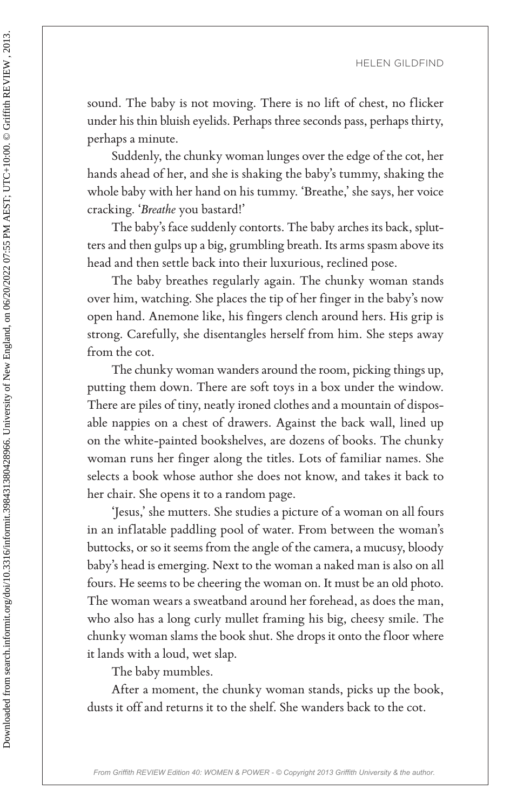sound. The baby is not moving. There is no lift of chest, no flicker under his thin bluish eyelids. Perhaps three seconds pass, perhaps thirty, perhaps a minute.

Suddenly, the chunky woman lunges over the edge of the cot, her hands ahead of her, and she is shaking the baby's tummy, shaking the whole baby with her hand on his tummy. 'Breathe,' she says, her voice cracking. '*Breathe* you bastard!'

The baby's face suddenly contorts. The baby arches its back, splutters and then gulps up a big, grumbling breath. Its arms spasm above its head and then settle back into their luxurious, reclined pose.

The baby breathes regularly again. The chunky woman stands over him, watching. She places the tip of her finger in the baby's now open hand. Anemone like, his fingers clench around hers. His grip is strong. Carefully, she disentangles herself from him. She steps away from the cot.

The chunky woman wanders around the room, picking things up, putting them down. There are soft toys in a box under the window. There are piles of tiny, neatly ironed clothes and a mountain of disposable nappies on a chest of drawers. Against the back wall, lined up on the white-painted bookshelves, are dozens of books. The chunky woman runs her finger along the titles. Lots of familiar names. She selects a book whose author she does not know, and takes it back to her chair. She opens it to a random page.

'Jesus,' she mutters. She studies a picture of a woman on all fours in an inflatable paddling pool of water. From between the woman's buttocks, or so it seems from the angle of the camera, a mucusy, bloody baby's head is emerging. Next to the woman a naked man is also on all fours. He seems to be cheering the woman on. It must be an old photo. The woman wears a sweatband around her forehead, as does the man, who also has a long curly mullet framing his big, cheesy smile. The chunky woman slams the book shut. She drops it onto the floor where it lands with a loud, wet slap. FERRICAL Sound. The baby is not moving. There is no lift of chest, no flictuate is<br>sensitive during that the state is so that of chest, no flictuate has the<br>state of the state of the state of the state of the state of the

The baby mumbles.

After a moment, the chunky woman stands, picks up the book, dusts it off and returns it to the shelf. She wanders back to the cot.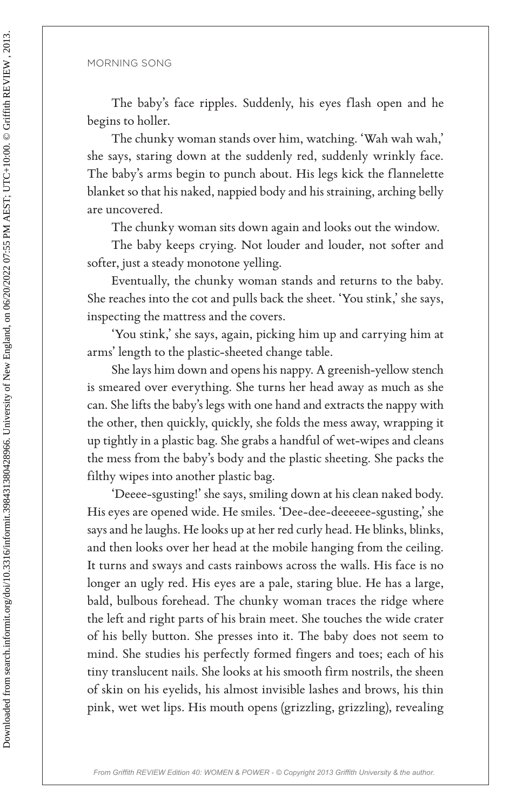The baby's face ripples. Suddenly, his eyes flash open and he begins to holler.

The chunky woman stands over him, watching. 'Wah wah wah,' she says, staring down at the suddenly red, suddenly wrinkly face. The baby's arms begin to punch about. His legs kick the flannelette blanket so that his naked, nappied body and his straining, arching belly are uncovered.

The chunky woman sits down again and looks out the window.

The baby keeps crying. Not louder and louder, not softer and softer, just a steady monotone yelling.

Eventually, the chunky woman stands and returns to the baby. She reaches into the cot and pulls back the sheet. 'You stink,' she says, inspecting the mattress and the covers.

'You stink,' she says, again, picking him up and carrying him at arms' length to the plastic-sheeted change table.

She lays him down and opens his nappy. A greenish-yellow stench is smeared over everything. She turns her head away as much as she can. She lifts the baby's legs with one hand and extracts the nappy with the other, then quickly, quickly, she folds the mess away, wrapping it up tightly in a plastic bag. She grabs a handful of wet-wipes and cleans the mess from the baby's body and the plastic sheeting. She packs the filthy wipes into another plastic bag.

'Deeee-sgusting!' she says, smiling down at his clean naked body. His eyes are opened wide. He smiles. 'Dee-dee-deeeeee-sgusting,' she says and he laughs. He looks up at her red curly head. He blinks, blinks, and then looks over her head at the mobile hanging from the ceiling. It turns and sways and casts rainbows across the walls. His face is no longer an ugly red. His eyes are a pale, staring blue. He has a large, bald, bulbous forehead. The chunky woman traces the ridge where the left and right parts of his brain meet. She touches the wide crater of his belly button. She presses into it. The baby does not seem to mind. She studies his perfectly formed fingers and toes; each of his tiny translucent nails. She looks at his smooth firm nostrils, the sheen of skin on his eyelids, his almost invisible lashes and brows, his thin pink, wet wet lips. His mouth opens (grizzling, grizzling), revealing Fractional section of the triples. Suddenly, his eyes flash open and the system of the system of the system of the system of the system of the system of the system of the system of the system of the system of the system o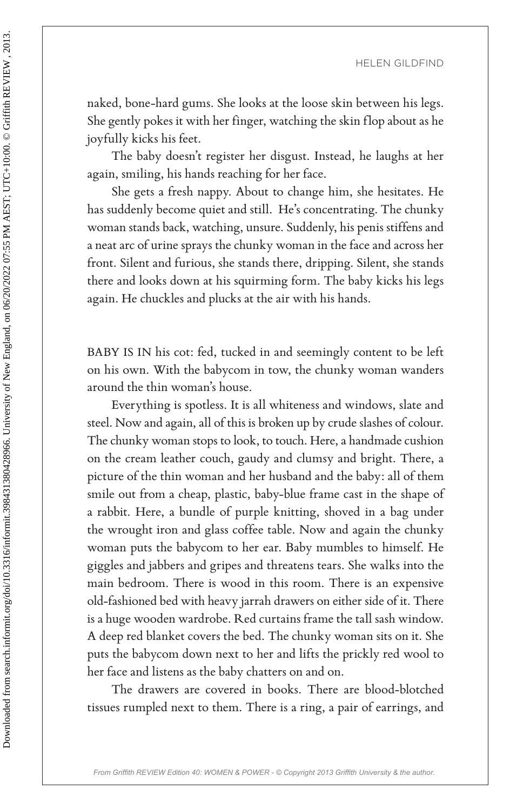naked, bone-hard gums. She looks at the loose skin between his legs. She gently pokes it with her finger, watching the skin flop about as he joyfully kicks his feet.

The baby doesn't register her disgust. Instead, he laughs at her again, smiling, his hands reaching for her face.

She gets a fresh nappy. About to change him, she hesitates. He has suddenly become quiet and still. He's concentrating. The chunky woman stands back, watching, unsure. Suddenly, his penis stiffens and a neat arc of urine sprays the chunky woman in the face and across her front. Silent and furious, she stands there, dripping. Silent, she stands there and looks down at his squirming form. The baby kicks his legs again. He chuckles and plucks at the air with his hands.

BABY IS IN his cot: fed, tucked in and seemingly content to be left on his own. With the babycom in tow, the chunky woman wanders around the thin woman's house.

Everything is spotless. It is all whiteness and windows, slate and steel. Now and again, all of this is broken up by crude slashes of colour. The chunky woman stops to look, to touch. Here, a handmade cushion on the cream leather couch, gaudy and clumsy and bright. There, a picture of the thin woman and her husband and the baby: all of them smile out from a cheap, plastic, baby-blue frame cast in the shape of a rabbit. Here, a bundle of purple knitting, shoved in a bag under the wrought iron and glass coffee table. Now and again the chunky woman puts the babycom to her ear. Baby mumbles to himself. He giggles and jabbers and gripes and threatens tears. She walks into the main bedroom. There is wood in this room. There is an expensive old-fashioned bed with heavy jarrah drawers on either side of it. There is a huge wooden wardrobe. Red curtains frame the tall sash window. A deep red blanket covers the bed. The chunky woman sits on it. She puts the babycom down next to her and lifts the prickly red wool to her face and listens as the baby chatters on and on. FIRE SITE S<br>
FIRE SITE S (FIGR) (FIGR)<br>
FIRE SERV SILDER). The leady dones have the books at the loose skin between his legendy pokes it with her finger, watching the skin flop about as lower<br>
The based of the fit. In the

The drawers are covered in books. There are blood-blotched tissues rumpled next to them. There is a ring, a pair of earrings, and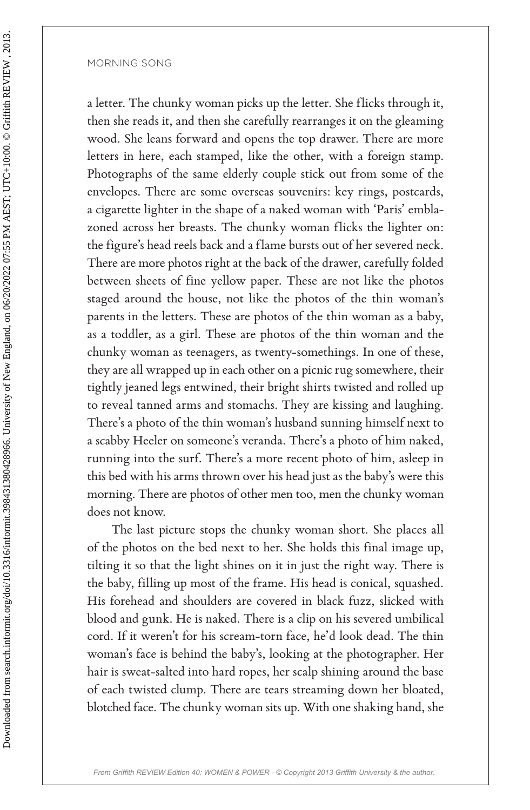a letter. The chunky woman picks up the letter. She flicks through it, then she reads it, and then she carefully rearranges it on the gleaming wood. She leans forward and opens the top drawer. There are more letters in here, each stamped, like the other, with a foreign stamp. Photographs of the same elderly couple stick out from some of the envelopes. There are some overseas souvenirs: key rings, postcards, a cigarette lighter in the shape of a naked woman with 'Paris' emblazoned across her breasts. The chunky woman flicks the lighter on: the figure's head reels back and a flame bursts out of her severed neck. There are more photos right at the back of the drawer, carefully folded between sheets of fine yellow paper. These are not like the photos staged around the house, not like the photos of the thin woman's parents in the letters. These are photos of the thin woman as a baby, as a toddler, as a girl. These are photos of the thin woman and the chunky woman as teenagers, as twenty-somethings. In one of these, they are all wrapped up in each other on a picnic rug somewhere, their tightly jeaned legs entwined, their bright shirts twisted and rolled up to reveal tanned arms and stomachs. They are kissing and laughing. There's a photo of the thin woman's husband sunning himself next to a scabby Heeler on someone's veranda. There's a photo of him naked, running into the surf. There's a more recent photo of him, asleep in this bed with his arms thrown over his head just as the baby's were this morning. There are photos of other men too, men the chunky woman does not know. Fig. 2018<br>
2018 18 <br>
2018 18 <br>
2018 18 <br>
2018 18 <br>
2018 18 <br>
2018 18 <br>
2018 18 <br>
2018 18 <br>
2018 18 <br>
2018 18 <br>
2018 18 <br>
2018 18 <br>
2018 18 <br>
2018 18 <br>
2018 18 <br>
2018 19 <br>
2018 19 <br>
2018 19 <br>
2018 19 <br>
2019 19 <br>
2019 19 19

The last picture stops the chunky woman short. She places all of the photos on the bed next to her. She holds this final image up, tilting it so that the light shines on it in just the right way. There is the baby, filling up most of the frame. His head is conical, squashed. His forehead and shoulders are covered in black fuzz, slicked with blood and gunk. He is naked. There is a clip on his severed umbilical cord. If it weren't for his scream-torn face, he'd look dead. The thin woman's face is behind the baby's, looking at the photographer. Her hair is sweat-salted into hard ropes, her scalp shining around the base of each twisted clump. There are tears streaming down her bloated, blotched face. The chunky woman sits up. With one shaking hand, she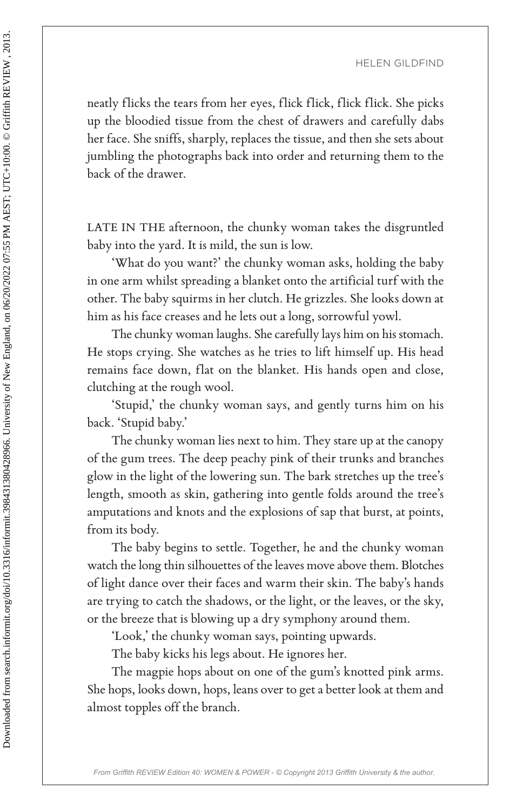neatly flicks the tears from her eyes, flick flick, flick flick. She picks up the bloodied tissue from the chest of drawers and carefully dabs her face. She sniffs, sharply, replaces the tissue, and then she sets about jumbling the photographs back into order and returning them to the back of the drawer.

LATE IN THE afternoon, the chunky woman takes the disgruntled baby into the yard. It is mild, the sun is low.

'What do you want?' the chunky woman asks, holding the baby in one arm whilst spreading a blanket onto the artificial turf with the other. The baby squirms in her clutch. He grizzles. She looks down at him as his face creases and he lets out a long, sorrowful yowl.

The chunky woman laughs. She carefully lays him on his stomach. He stops crying. She watches as he tries to lift himself up. His head remains face down, flat on the blanket. His hands open and close, clutching at the rough wool.

'Stupid,' the chunky woman says, and gently turns him on his back. 'Stupid baby.'

The chunky woman lies next to him. They stare up at the canopy of the gum trees. The deep peachy pink of their trunks and branches glow in the light of the lowering sun. The bark stretches up the tree's length, smooth as skin, gathering into gentle folds around the tree's amputations and knots and the explosions of sap that burst, at points, from its body. FEREN SILDER.<br>
FEREN SILDER, THE AT UE UNITE PROPRIMENT THE CHANNEL TRIGAL TRIGAL TRIGAL TRIGAL TRIGAL TRIGAL TRIGAL TRIGAL TRIGAL TRIGAL TRIGAL TRIGAL TRIGAL TRIGAL TRIGAL TRIGAL TRIGAL TRIGAL TRIGAL TRIGAL TRIGAL TRIGAL

The baby begins to settle. Together, he and the chunky woman watch the long thin silhouettes of the leaves move above them. Blotches of light dance over their faces and warm their skin. The baby's hands are trying to catch the shadows, or the light, or the leaves, or the sky, or the breeze that is blowing up a dry symphony around them.

'Look,' the chunky woman says, pointing upwards.

The baby kicks his legs about. He ignores her.

The magpie hops about on one of the gum's knotted pink arms. She hops, looks down, hops, leans over to get a better look at them and almost topples off the branch.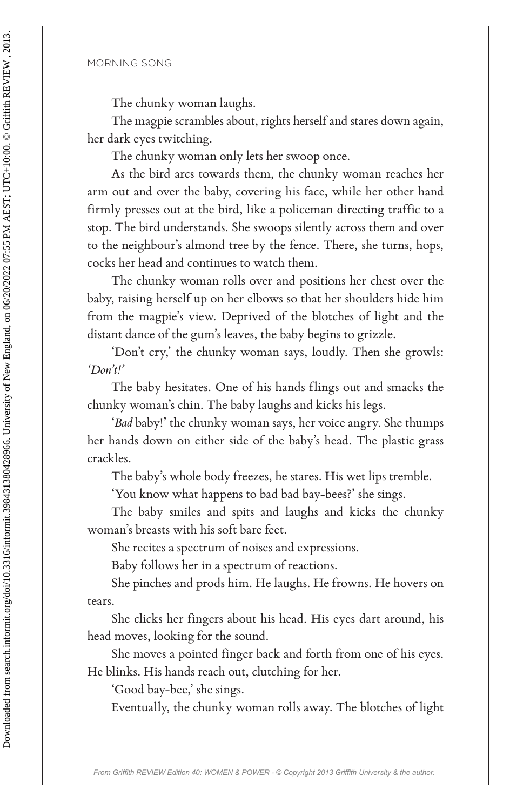The chunky woman laughs.

The magpie scrambles about, rights herself and stares down again, her dark eyes twitching.

The chunky woman only lets her swoop once.

As the bird arcs towards them, the chunky woman reaches her arm out and over the baby, covering his face, while her other hand firmly presses out at the bird, like a policeman directing traffic to a stop. The bird understands. She swoops silently across them and over to the neighbour's almond tree by the fence. There, she turns, hops, cocks her head and continues to watch them. For the chunkly woman langla.<br>
The chunkly woman langla,<br>
The magpie scrambles about, rights hereal and stares down again<br>
The dark cyes twitching.<br>
The magpie scrambas about, rights hereal and stares down again<br>
The chun

The chunky woman rolls over and positions her chest over the baby, raising herself up on her elbows so that her shoulders hide him from the magpie's view. Deprived of the blotches of light and the distant dance of the gum's leaves, the baby begins to grizzle.

'Don't cry,' the chunky woman says, loudly. Then she growls: *'Don't!'*

The baby hesitates. One of his hands flings out and smacks the chunky woman's chin. The baby laughs and kicks his legs.

'*Bad* baby!' the chunky woman says, her voice angry. She thumps her hands down on either side of the baby's head. The plastic grass crackles.

The baby's whole body freezes, he stares. His wet lips tremble.

'You know what happens to bad bad bay-bees?' she sings.

The baby smiles and spits and laughs and kicks the chunky woman's breasts with his soft bare feet.

She recites a spectrum of noises and expressions.

Baby follows her in a spectrum of reactions.

She pinches and prods him. He laughs. He frowns. He hovers on tears.

She clicks her fingers about his head. His eyes dart around, his head moves, looking for the sound.

She moves a pointed finger back and forth from one of his eyes. He blinks. His hands reach out, clutching for her.

'Good bay-bee,' she sings.

Eventually, the chunky woman rolls away. The blotches of light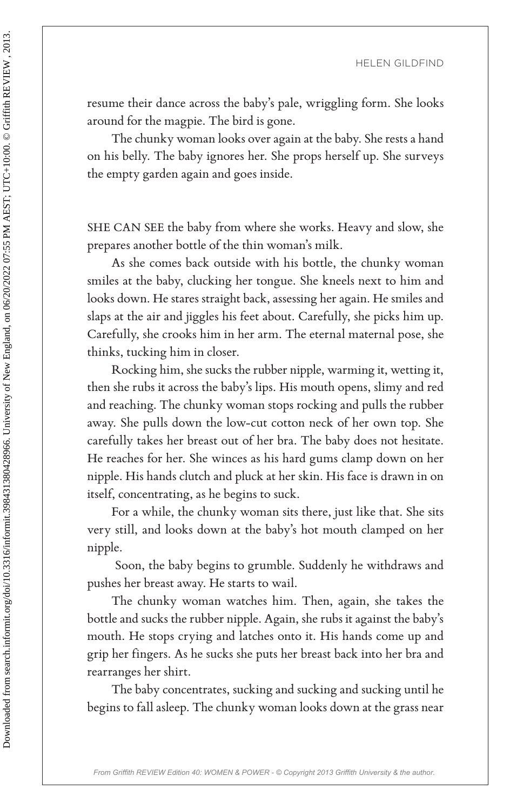resume their dance across the baby's pale, wriggling form. She looks around for the magpie. The bird is gone.

The chunky woman looks over again at the baby. She rests a hand on his belly. The baby ignores her. She props herself up. She surveys the empty garden again and goes inside.

SHE CAN SEE the baby from where she works. Heavy and slow, she prepares another bottle of the thin woman's milk.

As she comes back outside with his bottle, the chunky woman smiles at the baby, clucking her tongue. She kneels next to him and looks down. He stares straight back, assessing her again. He smiles and slaps at the air and jiggles his feet about. Carefully, she picks him up. Carefully, she crooks him in her arm. The eternal maternal pose, she thinks, tucking him in closer.

Rocking him, she sucks the rubber nipple, warming it, wetting it, then she rubs it across the baby's lips. His mouth opens, slimy and red and reaching. The chunky woman stops rocking and pulls the rubber away. She pulls down the low-cut cotton neck of her own top. She carefully takes her breast out of her bra. The baby does not hesitate. He reaches for her. She winces as his hard gums clamp down on her nipple. His hands clutch and pluck at her skin. His face is drawn in on itself, concentrating, as he begins to suck. HERICAL SILCIPS (FIGURE 164)<br>
FRIENCIA (FIGURE 164)<br>
FRIENCIA (FIGURE 164)<br>
FRIENCIA at reason of for the magnis. The bird is gone.<br>
The channy woman looks over again at the baby. She rests a harmon book to this belly. Th

For a while, the chunky woman sits there, just like that. She sits very still, and looks down at the baby's hot mouth clamped on her nipple.

 Soon, the baby begins to grumble. Suddenly he withdraws and pushes her breast away. He starts to wail.

The chunky woman watches him. Then, again, she takes the bottle and sucks the rubber nipple. Again, she rubs it against the baby's mouth. He stops crying and latches onto it. His hands come up and grip her fingers. As he sucks she puts her breast back into her bra and rearranges her shirt.

The baby concentrates, sucking and sucking and sucking until he begins to fall asleep. The chunky woman looks down at the grass near